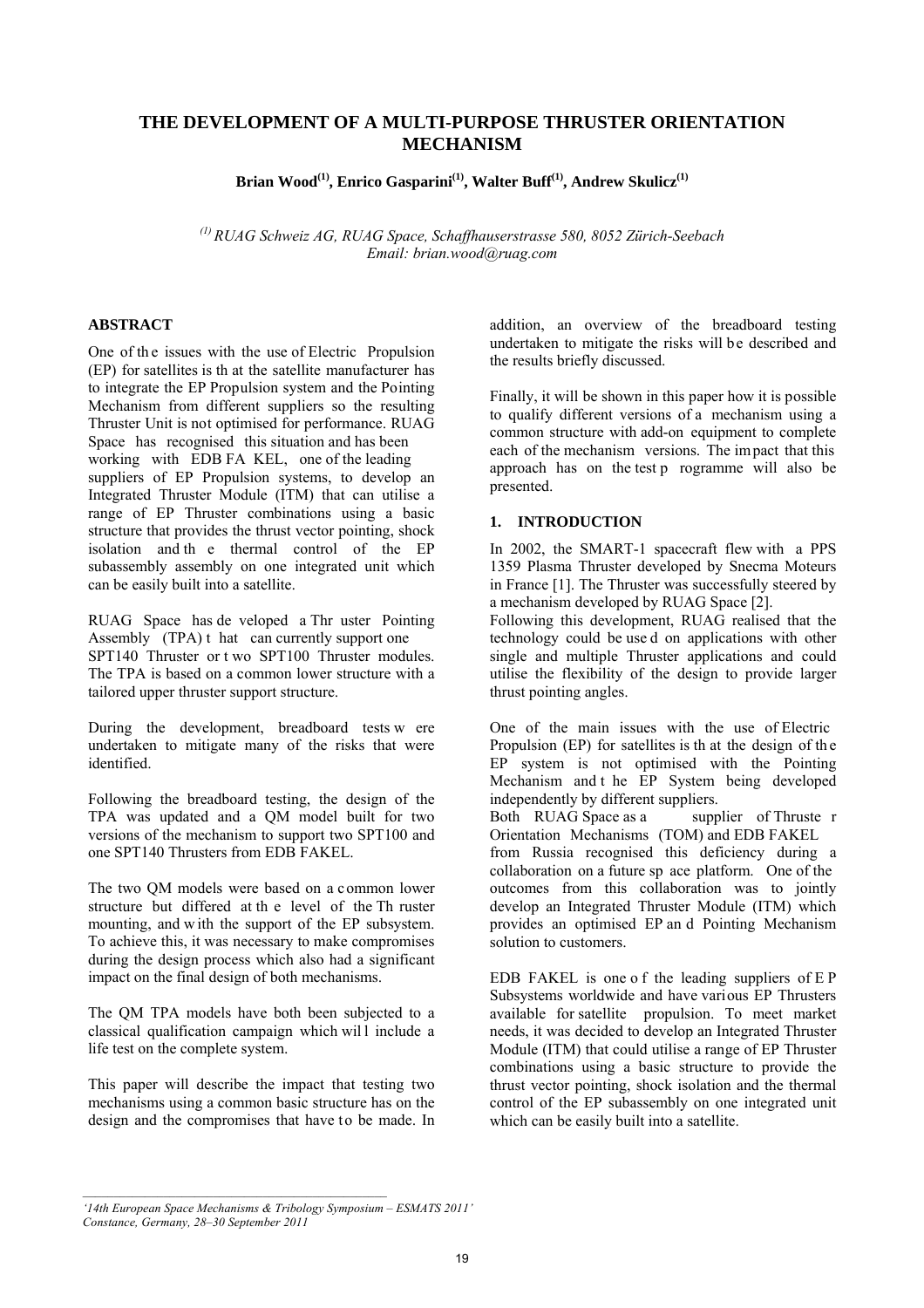# **THE DEVELOPMENT OF A MULTI-PURPOSE THRUSTER ORIENTATION MECHANISM**

Brian Wood<sup>(1)</sup>, Enrico Gasparini<sup>(1)</sup>, Walter Buff<sup>(1)</sup>, Andrew Skulicz<sup>(1)</sup>

*(1) RUAG Schweiz AG, RUAG Space, Schaffhauserstrasse 580, 8052 Zürich-Seebach Email: brian.wood@ruag.com* 

### **ABSTRACT**

One of th e issues with the use of Electric Propulsion (EP) for satellites is th at the satellite manufacturer has to integrate the EP Propulsion system and the Pointing Mechanism from different suppliers so the resulting Thruster Unit is not optimised for performance. RUAG Space has recognised this situation and has been working with EDB FA KEL, one of the leading suppliers of EP Propulsion systems, to develop an Integrated Thruster Module (ITM) that can utilise a range of EP Thruster combinations using a basic structure that provides the thrust vector pointing, shock isolation and th e thermal control of the EP subassembly assembly on one integrated unit which can be easily built into a satellite.

RUAG Space has de veloped a Thr uster Pointing Assembly (TPA) t hat can currently support one SPT140 Thruster or t wo SPT100 Thruster modules. The TPA is based on a common lower structure with a tailored upper thruster support structure.

During the development, breadboard tests w ere undertaken to mitigate many of the risks that were identified.

Following the breadboard testing, the design of the TPA was updated and a QM model built for two versions of the mechanism to support two SPT100 and one SPT140 Thrusters from EDB FAKEL.

The two QM models were based on a common lower structure but differed at th e level of the Th ruster mounting, and w ith the support of the EP subsystem. To achieve this, it was necessary to make compromises during the design process which also had a significant impact on the final design of both mechanisms.

The QM TPA models have both been subjected to a classical qualification campaign which will include a life test on the complete system.

This paper will describe the impact that testing two mechanisms using a common basic structure has on the design and the compromises that have to be made. In

addition, an overview of the breadboard testing undertaken to mitigate the risks will be described and the results briefly discussed.

Finally, it will be shown in this paper how it is possible to qualify different versions of a mechanism using a common structure with add-on equipment to complete each of the mechanism versions. The impact that this approach has on the test p rogramme will also be presented.

# **1. INTRODUCTION**

In 2002, the SMART-1 spacecraft flew with a PPS 1359 Plasma Thruster developed by Snecma Moteurs in France [1]. The Thruster was successfully steered by a mechanism developed by RUAG Space [2].

Following this development, RUAG realised that the technology could be use d on applications with other single and multiple Thruster applications and could utilise the flexibility of the design to provide larger thrust pointing angles.

One of the main issues with the use of Electric Propulsion (EP) for satellites is that the design of the EP system is not optimised with the Pointing Mechanism and t he EP System being developed independently by different suppliers.

Both RUAG Space as a supplier of Thruste r Orientation Mechanisms (TOM) and EDB FAKEL

from Russia recognised this deficiency during a collaboration on a future sp ace platform. One of the outcomes from this collaboration was to jointly develop an Integrated Thruster Module (ITM) which provides an optimised EP an d Pointing Mechanism solution to customers.

EDB FAKEL is one o f the leading suppliers of E P Subsystems worldwide and have various EP Thrusters available for satellite propulsion. To meet market needs, it was decided to develop an Integrated Thruster Module (ITM) that could utilise a range of EP Thruster combinations using a basic structure to provide the thrust vector pointing, shock isolation and the thermal control of the EP subassembly on one integrated unit which can be easily built into a satellite.

*<sup>&#</sup>x27;14th European Space Mechanisms & Tribology Symposium – ESMATS 2011' Constance, Germany, 28–30 September 2011*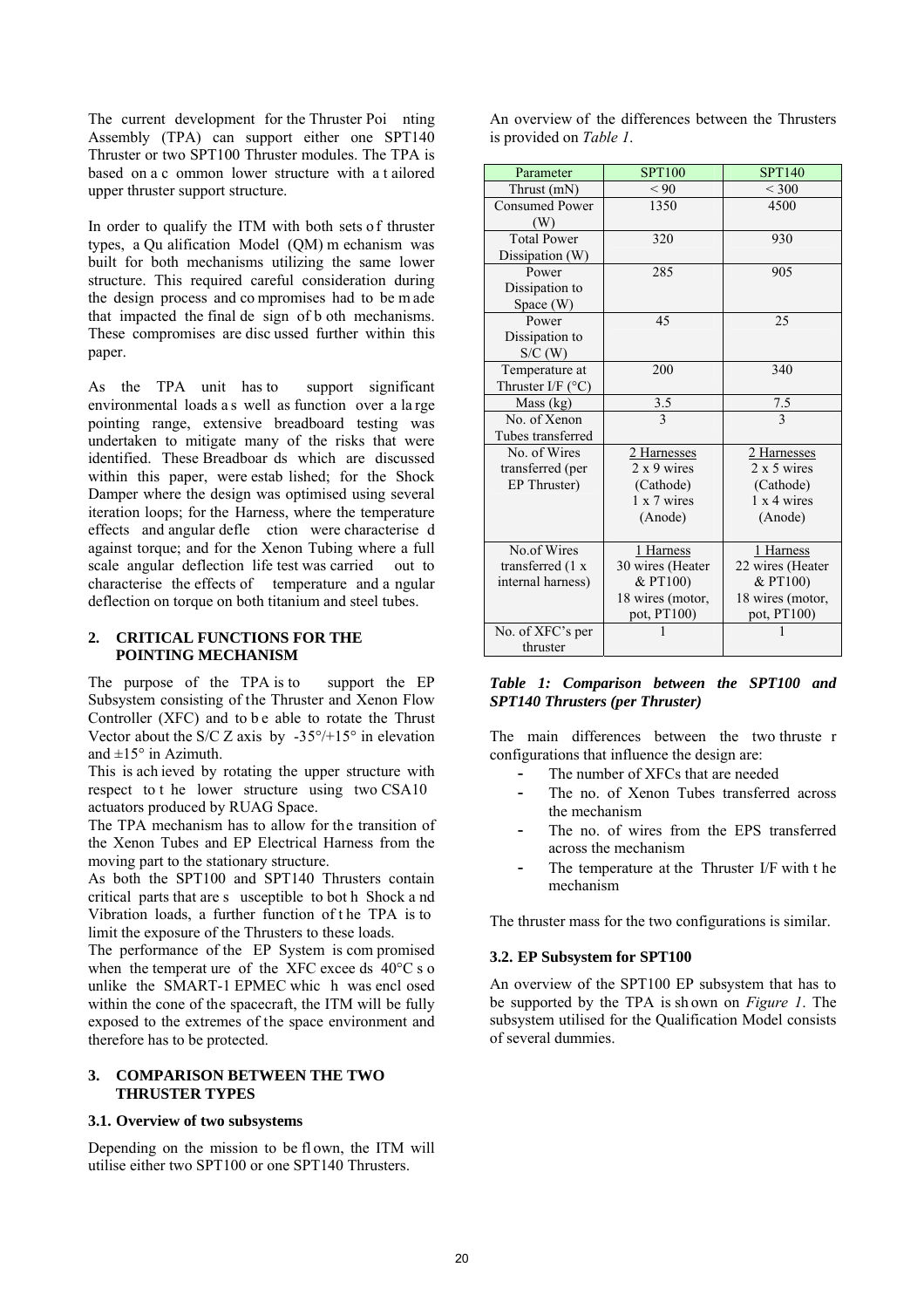The current development for the Thruster Poi nting Assembly (TPA) can support either one SPT140 Thruster or two SPT100 Thruster modules. The TPA is based on a c ommon lower structure with a t ailored upper thruster support structure.

In order to qualify the ITM with both sets o f thruster types, a Qu alification Model (QM) m echanism was built for both mechanisms utilizing the same lower structure. This required careful consideration during the design process and co mpromises had to be m ade that impacted the final de sign of b oth mechanisms. These compromises are disc ussed further within this paper.

As the TPA unit has to support significant environmental loads a s well as function over a large pointing range, extensive breadboard testing was undertaken to mitigate many of the risks that were identified. These Breadboar ds which are discussed within this paper, were estab lished; for the Shock Damper where the design was optimised using several iteration loops; for the Harness, where the temperature effects and angular defle ction were characterise d against torque; and for the Xenon Tubing where a full scale angular deflection life test was carried out to characterise the effects of temperature and a ngular deflection on torque on both titanium and steel tubes.

### **2. CRITICAL FUNCTIONS FOR THE POINTING MECHANISM**

The purpose of the TPA is to support the EP Subsystem consisting of the Thruster and Xenon Flow Controller (XFC) and to be able to rotate the Thrust Vector about the S/C Z axis by  $-35^{\circ}/+15^{\circ}$  in elevation and  $\pm 15^\circ$  in Azimuth.

This is ach ieved by rotating the upper structure with respect to t he lower structure using two CSA10 actuators produced by RUAG Space.

The TPA mechanism has to allow for the transition of the Xenon Tubes and EP Electrical Harness from the moving part to the stationary structure.

As both the SPT100 and SPT140 Thrusters contain critical parts that are s usceptible to bot h Shock a nd Vibration loads, a further function of t he TPA is to limit the exposure of the Thrusters to these loads.

The performance of the EP System is com promised when the temperat ure of the XFC excee ds 40°C s o unlike the SMART-1 EPMEC whic h was encl osed within the cone of the spacecraft, the ITM will be fully exposed to the extremes of the space environment and therefore has to be protected.

### **3. COMPARISON BETWEEN THE TWO THRUSTER TYPES**

#### **3.1. Overview of two subsystems**

Depending on the mission to be flown, the ITM will utilise either two SPT100 or one SPT140 Thrusters.

An overview of the differences between the Thrusters is provided on *Table 1*.

| Parameter                  | <b>SPT100</b>      | <b>SPT140</b>      |
|----------------------------|--------------------|--------------------|
| Thrust (mN)                | < 90               | ${}<$ 300          |
| <b>Consumed Power</b>      | 1350               | 4500               |
| (W)                        |                    |                    |
| <b>Total Power</b>         | 320                | 930                |
| Dissipation (W)            |                    |                    |
| Power                      | 285                | 905                |
| Dissipation to             |                    |                    |
| Space (W)                  |                    |                    |
| Power                      | 45                 | 25                 |
| Dissipation to             |                    |                    |
| S/C(W)                     |                    |                    |
| Temperature at             | 200                | 340                |
| Thruster I/F $(^{\circ}C)$ |                    |                    |
| Mass (kg)                  | $\frac{3.5}{3}$    | $\frac{7.5}{3}$    |
| No. of Xenon               |                    |                    |
| Tubes transferred          |                    |                    |
| No. of Wires               | 2 Harnesses        | 2 Harnesses        |
| transferred (per           | $2 \times 9$ wires | $2 \times 5$ wires |
| EP Thruster)               | (Cathode)          | (Cathode)          |
|                            | 1 x 7 wires        | $1 \times 4$ wires |
|                            | (Anode)            | (Anode)            |
| No.of Wires                | 1 Harness          | 1 Harness          |
| transferred $(1 x)$        | 30 wires (Heater   | 22 wires (Heater   |
| internal harness)          | & PT100)           | & PT100)           |
|                            | 18 wires (motor,   | 18 wires (motor,   |
|                            | pot, PT100)        | pot, PT100)        |
| No. of XFC's per           | 1                  |                    |
| thruster                   |                    |                    |

#### *Table 1: Comparison between the SPT100 and SPT140 Thrusters (per Thruster)*

The main differences between the two thruste r configurations that influence the design are:

- The number of XFCs that are needed
- The no. of Xenon Tubes transferred across the mechanism
- The no. of wires from the EPS transferred across the mechanism
- The temperature at the Thruster I/F with t he mechanism

The thruster mass for the two configurations is similar.

# **3.2. EP Subsystem for SPT100**

An overview of the SPT100 EP subsystem that has to be supported by the TPA is sh own on *Figure 1*. The subsystem utilised for the Qualification Model consists of several dummies.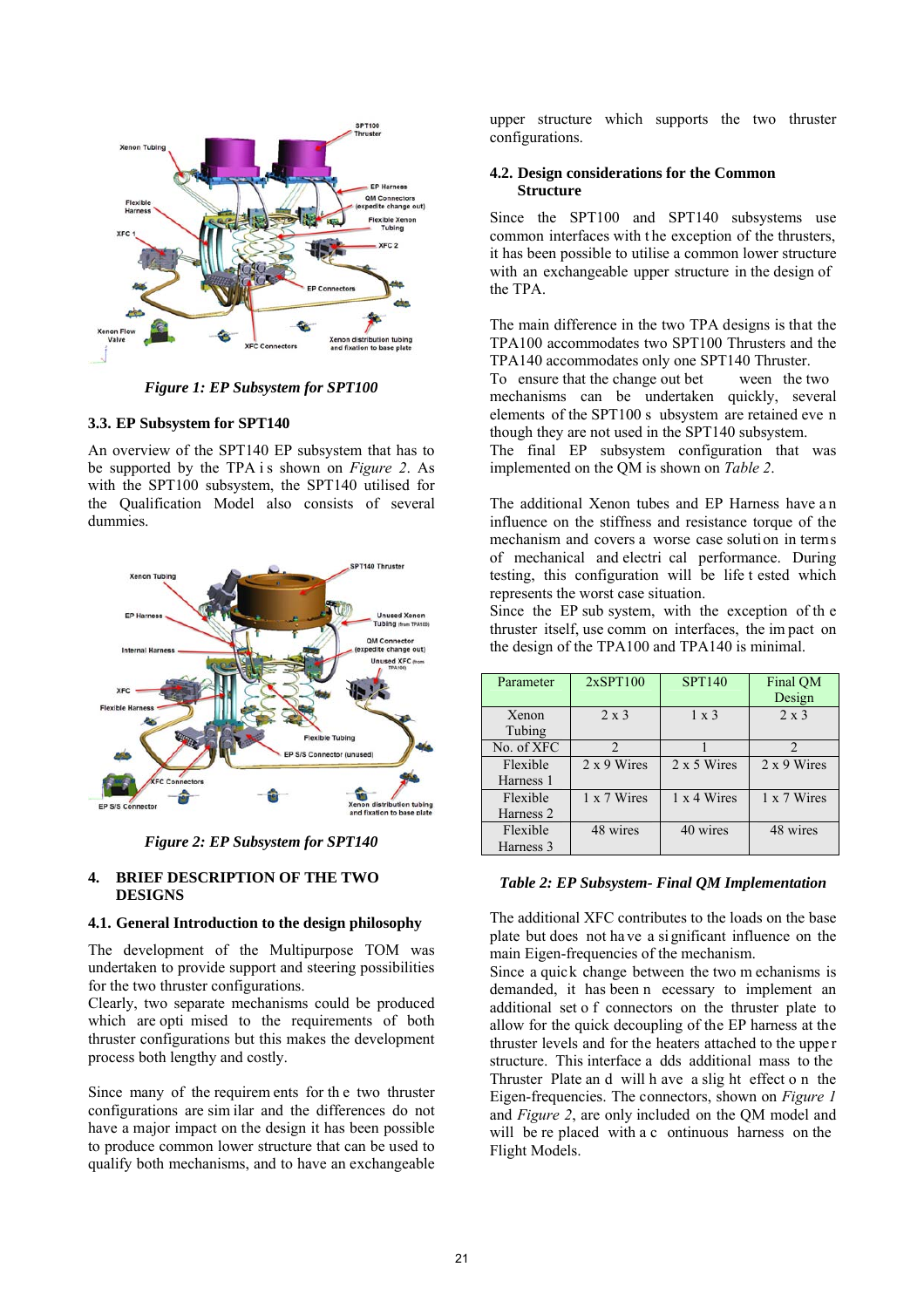

*Figure 1: EP Subsystem for SPT100* 

### **3.3. EP Subsystem for SPT140**

An overview of the SPT140 EP subsystem that has to be supported by the TPA is shown on *Figure 2*. As with the SPT100 subsystem, the SPT140 utilised for the Qualification Model also consists of several dummies.



*Figure 2: EP Subsystem for SPT140* 

### **4. BRIEF DESCRIPTION OF THE TWO DESIGNS**

#### **4.1. General Introduction to the design philosophy**

The development of the Multipurpose TOM was undertaken to provide support and steering possibilities for the two thruster configurations.

Clearly, two separate mechanisms could be produced which are opti mised to the requirements of both thruster configurations but this makes the development process both lengthy and costly.

Since many of the requirem ents for th e two thruster configurations are sim ilar and the differences do not have a major impact on the design it has been possible to produce common lower structure that can be used to qualify both mechanisms, and to have an exchangeable

upper structure which supports the two thruster configurations.

### **4.2. Design considerations for the Common Structure**

Since the SPT100 and SPT140 subsystems use common interfaces with the exception of the thrusters, it has been possible to utilise a common lower structure with an exchangeable upper structure in the design of the TPA.

The main difference in the two TPA designs is that the TPA100 accommodates two SPT100 Thrusters and the TPA140 accommodates only one SPT140 Thruster. To ensure that the change out bet ween the two mechanisms can be undertaken quickly, several elements of the SPT100 s ubsystem are retained eve n though they are not used in the SPT140 subsystem. The final EP subsystem configuration that was implemented on the QM is shown on *Table 2*.

The additional Xenon tubes and EP Harness have a n influence on the stiffness and resistance torque of the mechanism and covers a worse case solution in terms of mechanical and electri cal performance. During testing, this configuration will be life t ested which

represents the worst case situation. Since the EP sub system, with the exception of th e thruster itself, use comm on interfaces, the im pact on the design of the TPA100 and TPA140 is minimal.

| Parameter       | 2xSPT100                    | <b>SPT140</b>      | Final QM<br>Design          |
|-----------------|-----------------------------|--------------------|-----------------------------|
| Xenon<br>Tubing | $2 \times 3$                | $1 \times 3$       | $2 \times 3$                |
| No. of XFC      | $\mathcal{D}_{\mathcal{A}}$ |                    | $\mathcal{D}_{\mathcal{A}}$ |
| Flexible        | $2 \times 9$ Wires          | 2 x 5 Wires        | 2 x 9 Wires                 |
| Harness 1       |                             |                    |                             |
| Flexible        | $1 \times 7$ Wires          | $1 \times 4$ Wires | 1 x 7 Wires                 |
| Harness 2       |                             |                    |                             |
| Flexible        | 48 wires                    | 40 wires           | 48 wires                    |
| Harness 3       |                             |                    |                             |

#### *Table 2: EP Subsystem- Final QM Implementation*

The additional XFC contributes to the loads on the base plate but does not ha ve a si gnificant influence on the main Eigen-frequencies of the mechanism.

Since a quick change between the two m echanisms is demanded, it has been n ecessary to implement an additional set o f connectors on the thruster plate to allow for the quick decoupling of the EP harness at the thruster levels and for the heaters attached to the upper structure. This interface a dds additional mass to the Thruster Plate an d will h ave a slig ht effect o n the Eigen-frequencies. The connectors, shown on *Figure 1* and *Figure 2*, are only included on the QM model and will be re placed with a c ontinuous harness on the Flight Models.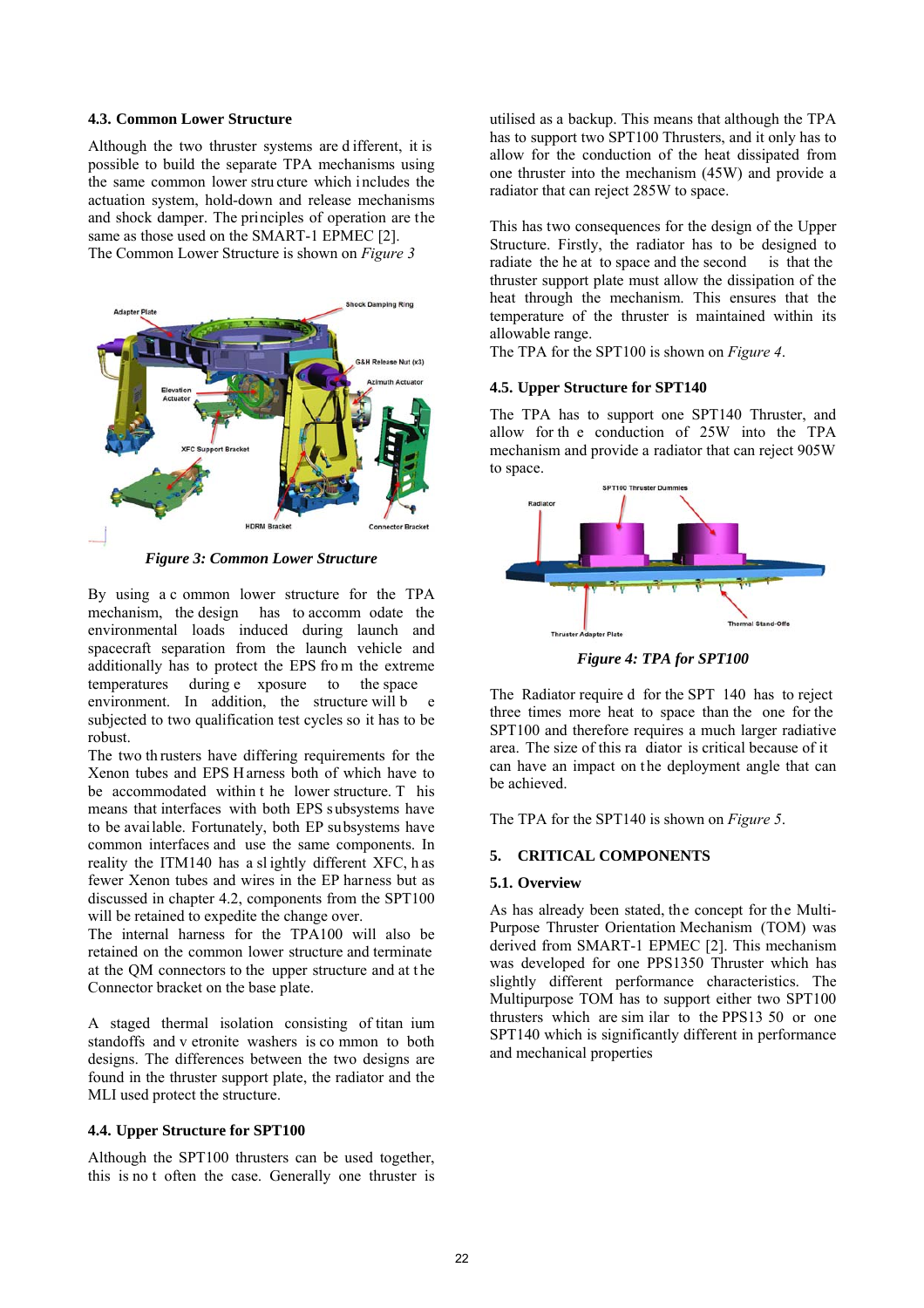#### **4.3. Common Lower Structure**

Although the two thruster systems are d ifferent, it is possible to build the separate TPA mechanisms using the same common lower stru cture which i ncludes the actuation system, hold-down and release mechanisms and shock damper. The principles of operation are the same as those used on the SMART-1 EPMEC [2]. The Common Lower Structure is shown on *Figure 3*



*Figure 3: Common Lower Structure* 

By using a c ommon lower structure for the TPA mechanism, the design has to accomm odate the environmental loads induced during launch and spacecraft separation from the launch vehicle and additionally has to protect the EPS fro m the extreme temperatures during e xposure to the space environment. In addition, the structure will b subjected to two qualification test cycles so it has to be robust.

The two th rusters have differing requirements for the Xenon tubes and EPS H arness both of which have to be accommodated within t he lower structure. T his means that interfaces with both EPS subsystems have to be available. Fortunately, both EP subsystems have common interfaces and use the same components. In reality the ITM140 has a sl ightly different XFC, h as fewer Xenon tubes and wires in the EP harness but as discussed in chapter 4.2, components from the SPT100 will be retained to expedite the change over.

The internal harness for the TPA100 will also be retained on the common lower structure and terminate at the QM connectors to the upper structure and at the Connector bracket on the base plate.

A staged thermal isolation consisting of titan ium standoffs and v etronite washers is co mmon to both designs. The differences between the two designs are found in the thruster support plate, the radiator and the MLI used protect the structure.

### **4.4. Upper Structure for SPT100**

Although the SPT100 thrusters can be used together, this is no t often the case. Generally one thruster is

utilised as a backup. This means that although the TPA has to support two SPT100 Thrusters, and it only has to allow for the conduction of the heat dissipated from one thruster into the mechanism (45W) and provide a radiator that can reject 285W to space.

This has two consequences for the design of the Upper Structure. Firstly, the radiator has to be designed to radiate the he at to space and the second is that the thruster support plate must allow the dissipation of the heat through the mechanism. This ensures that the temperature of the thruster is maintained within its allowable range.

The TPA for the SPT100 is shown on *Figure 4*.

# **4.5. Upper Structure for SPT140**

The TPA has to support one SPT140 Thruster, and allow for th e conduction of 25W into the TPA mechanism and provide a radiator that can reject 905W to space.



*Figure 4: TPA for SPT100* 

The Radiator require d for the SPT 140 has to reject three times more heat to space than the one for the SPT100 and therefore requires a much larger radiative area. The size of this ra diator is critical because of it can have an impact on the deployment angle that can be achieved.

The TPA for the SPT140 is shown on *Figure 5*.

# **5. CRITICAL COMPONENTS**

# **5.1. Overview**

As has already been stated, the concept for the Multi-Purpose Thruster Orientation Mechanism (TOM) was derived from SMART-1 EPMEC [2]. This mechanism was developed for one PPS1350 Thruster which has slightly different performance characteristics. The Multipurpose TOM has to support either two SPT100 thrusters which are sim ilar to the PPS13 50 or one SPT140 which is significantly different in performance and mechanical properties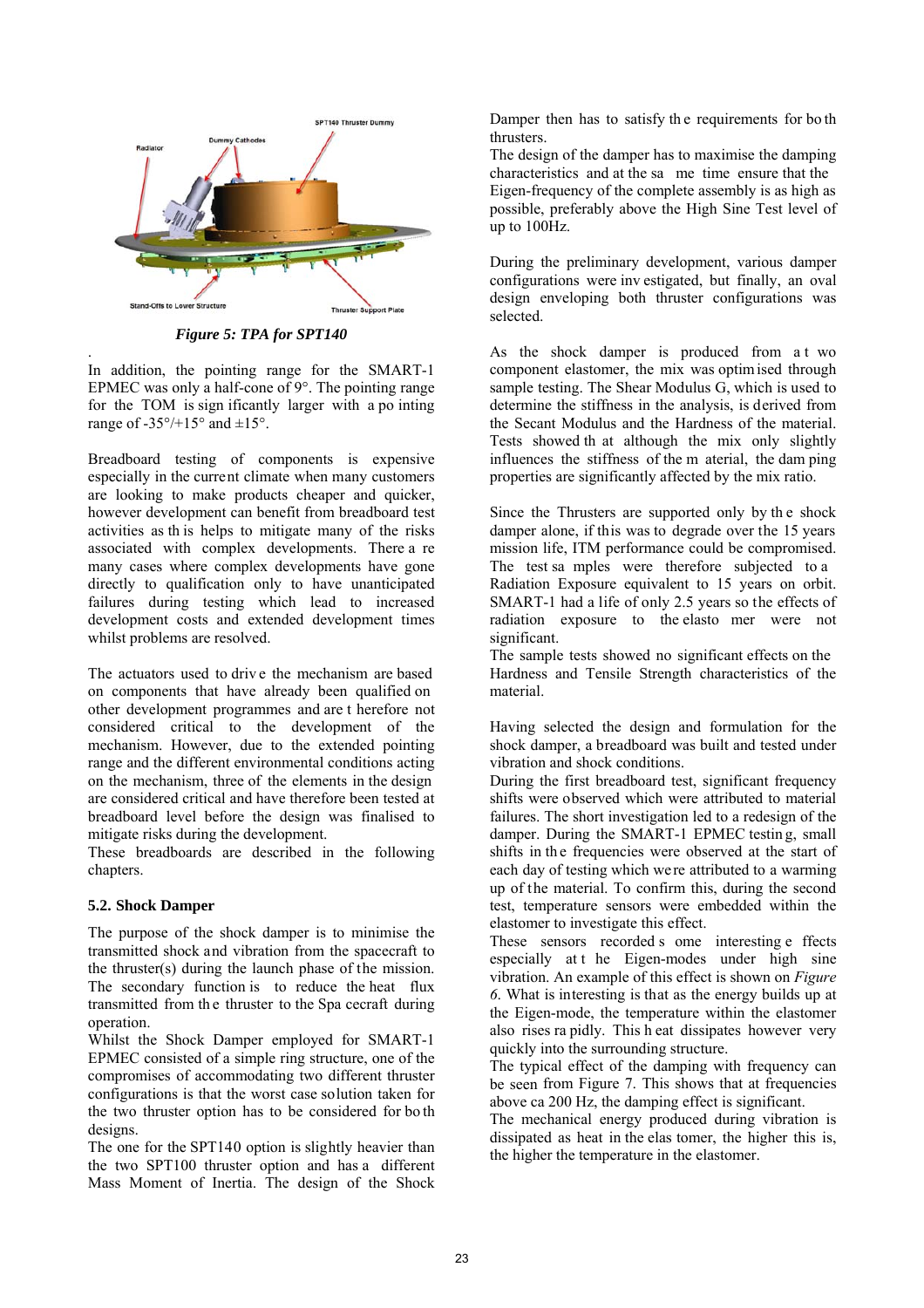

*Figure 5: TPA for SPT140* 

. In addition, the pointing range for the SMART-1 EPMEC was only a half-cone of 9°. The pointing range for the TOM is sign ificantly larger with a po inting range of  $-35^{\circ}/+15^{\circ}$  and  $\pm 15^{\circ}$ .

Breadboard testing of components is expensive especially in the current climate when many customers are looking to make products cheaper and quicker, however development can benefit from breadboard test activities as th is helps to mitigate many of the risks associated with complex developments. There a re many cases where complex developments have gone directly to qualification only to have unanticipated failures during testing which lead to increased development costs and extended development times whilst problems are resolved.

The actuators used to driv e the mechanism are based on components that have already been qualified on other development programmes and are t herefore not considered critical to the development of the mechanism. However, due to the extended pointing range and the different environmental conditions acting on the mechanism, three of the elements in the design are considered critical and have therefore been tested at breadboard level before the design was finalised to mitigate risks during the development.

These breadboards are described in the following chapters.

# **5.2. Shock Damper**

The purpose of the shock damper is to minimise the transmitted shock and vibration from the spacecraft to the thruster(s) during the launch phase of the mission. The secondary function is to reduce the heat flux transmitted from th e thruster to the Spa cecraft during operation.

Whilst the Shock Damper employed for SMART-1 EPMEC consisted of a simple ring structure, one of the compromises of accommodating two different thruster configurations is that the worst case solution taken for the two thruster option has to be considered for bo th designs.

The one for the SPT140 option is slightly heavier than the two SPT100 thruster option and has a different Mass Moment of Inertia. The design of the Shock

Damper then has to satisfy th e requirements for bo th thrusters.

The design of the damper has to maximise the damping characteristics and at the sa me time ensure that the Eigen-frequency of the complete assembly is as high as possible, preferably above the High Sine Test level of up to 100Hz.

During the preliminary development, various damper configurations were inv estigated, but finally, an oval design enveloping both thruster configurations was selected.

As the shock damper is produced from a t wo component elastomer, the mix was optim ised through sample testing. The Shear Modulus G, which is used to determine the stiffness in the analysis, is derived from the Secant Modulus and the Hardness of the material. Tests showed th at although the mix only slightly influences the stiffness of the m aterial, the dam ping properties are significantly affected by the mix ratio.

Since the Thrusters are supported only by th e shock damper alone, if this was to degrade over the 15 years mission life, ITM performance could be compromised. The test sa mples were therefore subjected to a Radiation Exposure equivalent to 15 years on orbit. SMART-1 had a life of only 2.5 years so the effects of radiation exposure to the elasto mer were not significant.

The sample tests showed no significant effects on the Hardness and Tensile Strength characteristics of the material.

Having selected the design and formulation for the shock damper, a breadboard was built and tested under vibration and shock conditions.

During the first breadboard test, significant frequency shifts were observed which were attributed to material failures. The short investigation led to a redesign of the damper. During the SMART-1 EPMEC testin g, small shifts in the frequencies were observed at the start of each day of testing which were attributed to a warming up of the material. To confirm this, during the second test, temperature sensors were embedded within the elastomer to investigate this effect.

These sensors recorded s ome interesting e ffects especially at t he Eigen-modes under high sine vibration. An example of this effect is shown on *Figure 6*. What is interesting is that as the energy builds up at the Eigen-mode, the temperature within the elastomer also rises ra pidly. This h eat dissipates however very quickly into the surrounding structure.

The typical effect of the damping with frequency can be seen from Figure 7. This shows that at frequencies above ca 200 Hz, the damping effect is significant.

The mechanical energy produced during vibration is dissipated as heat in the elas tomer, the higher this is, the higher the temperature in the elastomer.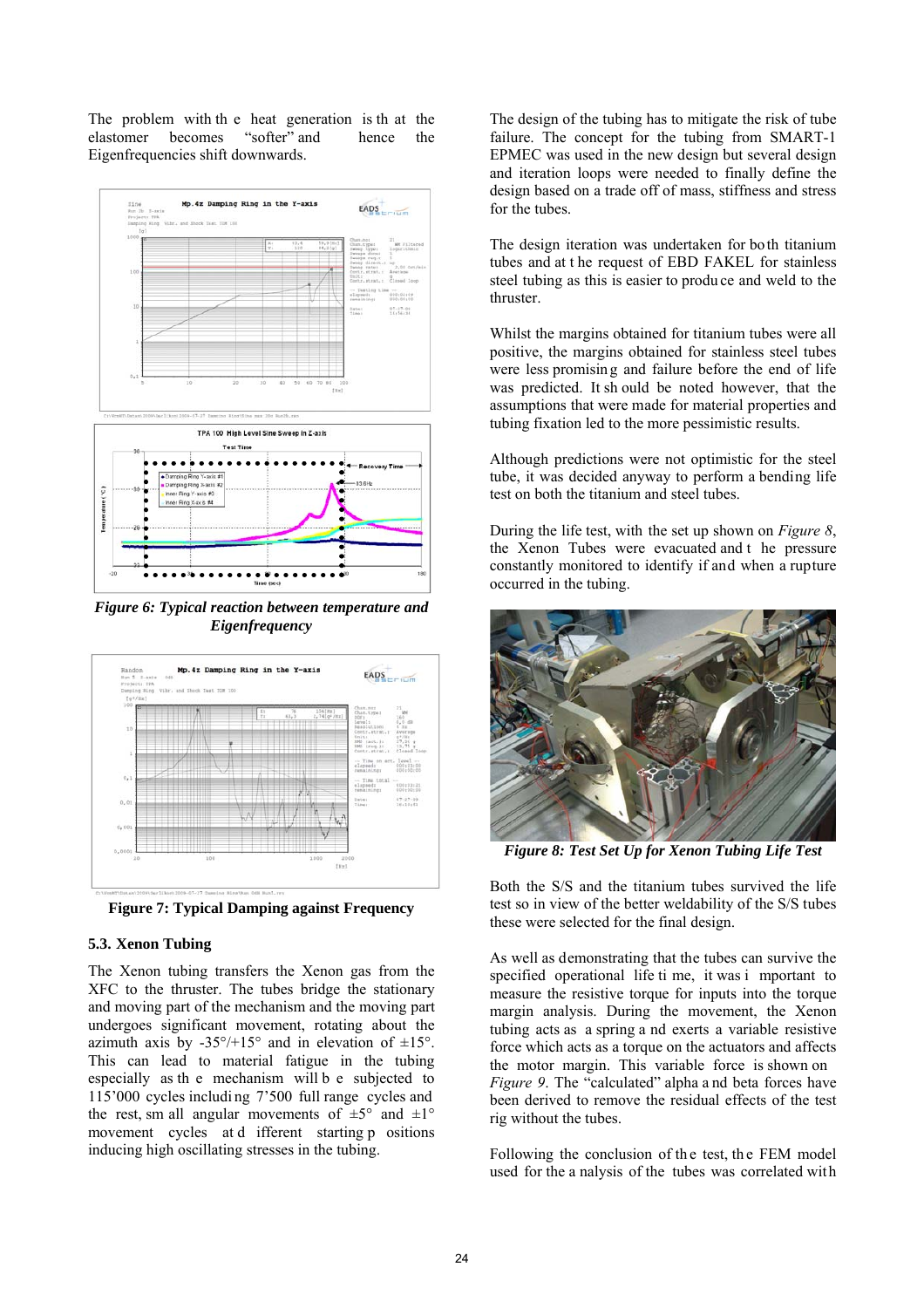The problem with the heat generation is the at the elastomer becomes "softer" and hence the elastomer becomes "softer" and hence the Eigenfrequencies shift downwards.



*Figure 6: Typical reaction between temperature and Eigenfrequency* 



**Figure 7: Typical Damping against Frequency** 

# **5.3. Xenon Tubing**

The Xenon tubing transfers the Xenon gas from the XFC to the thruster. The tubes bridge the stationary and moving part of the mechanism and the moving part undergoes significant movement, rotating about the azimuth axis by  $-35^{\circ}/+15^{\circ}$  and in elevation of  $\pm 15^{\circ}$ . This can lead to material fatigue in the tubing especially as th e mechanism will b e subjected to 115'000 cycles includi ng 7'500 full range cycles and the rest, sm all angular movements of  $\pm 5^{\circ}$  and  $\pm 1^{\circ}$ movement cycles at d ifferent starting p ositions inducing high oscillating stresses in the tubing.

The design of the tubing has to mitigate the risk of tube failure. The concept for the tubing from SMART-1 EPMEC was used in the new design but several design and iteration loops were needed to finally define the design based on a trade off of mass, stiffness and stress for the tubes.

The design iteration was undertaken for both titanium tubes and at t he request of EBD FAKEL for stainless steel tubing as this is easier to produ ce and weld to the thruster.

Whilst the margins obtained for titanium tubes were all positive, the margins obtained for stainless steel tubes were less promisin g and failure before the end of life was predicted. It sh ould be noted however, that the assumptions that were made for material properties and tubing fixation led to the more pessimistic results.

Although predictions were not optimistic for the steel tube, it was decided anyway to perform a bending life test on both the titanium and steel tubes.

During the life test, with the set up shown on *Figure 8*, the Xenon Tubes were evacuated and t he pressure constantly monitored to identify if and when a rupture occurred in the tubing.



*Figure 8: Test Set Up for Xenon Tubing Life Test* 

Both the S/S and the titanium tubes survived the life test so in view of the better weldability of the S/S tubes these were selected for the final design.

As well as demonstrating that the tubes can survive the specified operational life ti me, it was i mportant to measure the resistive torque for inputs into the torque margin analysis. During the movement, the Xenon tubing acts as a spring a nd exerts a variable resistive force which acts as a torque on the actuators and affects the motor margin. This variable force is shown on *Figure 9*. The "calculated" alpha a nd beta forces have been derived to remove the residual effects of the test rig without the tubes.

Following the conclusion of the test, the FEM model used for the a nalysis of the tubes was correlated with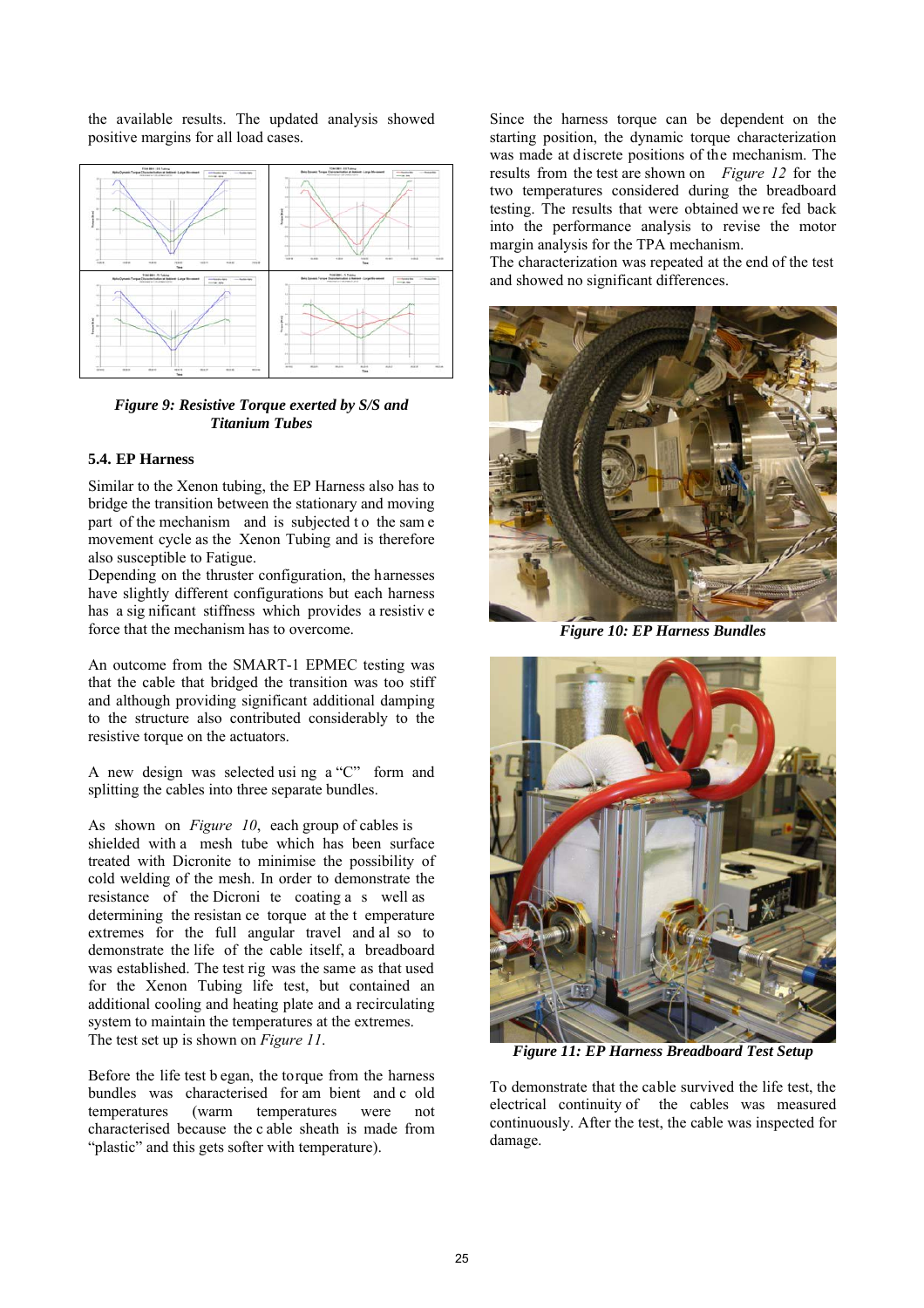the available results. The updated analysis showed positive margins for all load cases.



*Figure 9: Resistive Torque exerted by S/S and Titanium Tubes* 

# **5.4. EP Harness**

Similar to the Xenon tubing, the EP Harness also has to bridge the transition between the stationary and moving part of the mechanism and is subjected to the same movement cycle as the Xenon Tubing and is therefore also susceptible to Fatigue.

Depending on the thruster configuration, the harnesses have slightly different configurations but each harness has a sig nificant stiffness which provides a resistiv e force that the mechanism has to overcome.

An outcome from the SMART-1 EPMEC testing was that the cable that bridged the transition was too stiff and although providing significant additional damping to the structure also contributed considerably to the resistive torque on the actuators.

A new design was selected usi ng a "C" form and splitting the cables into three separate bundles.

As shown on *Figure 10*, each group of cables is shielded with a mesh tube which has been surface treated with Dicronite to minimise the possibility of cold welding of the mesh. In order to demonstrate the resistance of the Dicroni te coating a s well as determining the resistan ce torque at the t emperature extremes for the full angular travel and al so to demonstrate the life of the cable itself, a breadboard was established. The test rig was the same as that used for the Xenon Tubing life test, but contained an additional cooling and heating plate and a recirculating system to maintain the temperatures at the extremes. The test set up is shown on *Figure 11*.

Before the life test b egan, the torque from the harness bundles was characterised for am bient and c old temperatures (warm temperatures were not characterised because the c able sheath is made from "plastic" and this gets softer with temperature).

Since the harness torque can be dependent on the starting position, the dynamic torque characterization was made at discrete positions of the mechanism. The results from the test are shown on *Figure 12* for the two temperatures considered during the breadboard testing. The results that were obtained we re fed back into the performance analysis to revise the motor margin analysis for the TPA mechanism.

The characterization was repeated at the end of the test and showed no significant differences.



*Figure 10: EP Harness Bundles* 



*Figure 11: EP Harness Breadboard Test Setup* 

To demonstrate that the cable survived the life test, the electrical continuity of the cables was measured continuously. After the test, the cable was inspected for damage.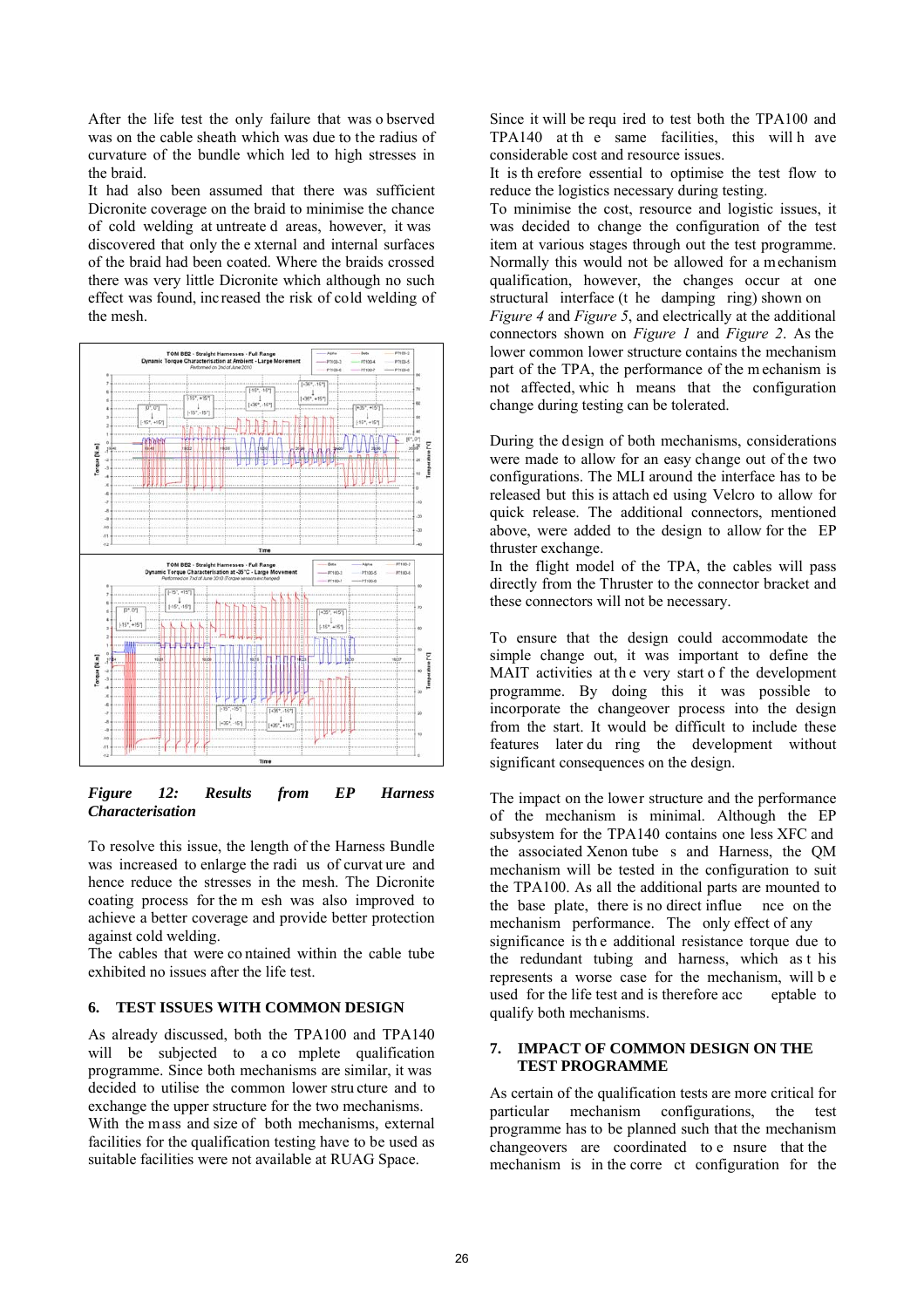After the life test the only failure that was o bserved was on the cable sheath which was due to the radius of curvature of the bundle which led to high stresses in the braid.

It had also been assumed that there was sufficient Dicronite coverage on the braid to minimise the chance of cold welding at untreate d areas, however, it was discovered that only the e xternal and internal surfaces of the braid had been coated. Where the braids crossed there was very little Dicronite which although no such effect was found, increased the risk of cold welding of the mesh.



*Figure 12: Results from EP Harness Characterisation* 

To resolve this issue, the length of the Harness Bundle was increased to enlarge the radi us of curvat ure and hence reduce the stresses in the mesh. The Dicronite coating process for the m esh was also improved to achieve a better coverage and provide better protection against cold welding.

The cables that were co ntained within the cable tube exhibited no issues after the life test.

#### **6. TEST ISSUES WITH COMMON DESIGN**

As already discussed, both the TPA100 and TPA140 will be subjected to a complete qualification programme. Since both mechanisms are similar, it was decided to utilise the common lower stru cture and to exchange the upper structure for the two mechanisms. With the mass and size of both mechanisms, external facilities for the qualification testing have to be used as suitable facilities were not available at RUAG Space.

Since it will be requ ired to test both the TPA100 and TPA140 at th e same facilities, this will h ave considerable cost and resource issues.

It is th erefore essential to optimise the test flow to reduce the logistics necessary during testing.

To minimise the cost, resource and logistic issues, it was decided to change the configuration of the test item at various stages through out the test programme. Normally this would not be allowed for a mechanism qualification, however, the changes occur at one structural interface (t he damping ring) shown on *Figure 4* and *Figure 5*, and electrically at the additional connectors shown on *Figure 1* and *Figure 2*. As the lower common lower structure contains the mechanism part of the TPA, the performance of the m echanism is not affected, whic h means that the configuration change during testing can be tolerated.

During the design of both mechanisms, considerations were made to allow for an easy change out of the two configurations. The MLI around the interface has to be released but this is attach ed using Velcro to allow for quick release. The additional connectors, mentioned above, were added to the design to allow for the EP thruster exchange.

In the flight model of the TPA, the cables will pass directly from the Thruster to the connector bracket and these connectors will not be necessary.

To ensure that the design could accommodate the simple change out, it was important to define the MAIT activities at th e very start o f the development programme. By doing this it was possible to incorporate the changeover process into the design from the start. It would be difficult to include these features later du ring the development without significant consequences on the design.

The impact on the lower structure and the performance of the mechanism is minimal. Although the EP subsystem for the TPA140 contains one less XFC and the associated Xenon tube s and Harness, the QM mechanism will be tested in the configuration to suit the TPA100. As all the additional parts are mounted to the base plate, there is no direct influe nce on the mechanism performance. The only effect of any significance is the additional resistance torque due to the redundant tubing and harness, which as t his represents a worse case for the mechanism, will b e used for the life test and is therefore acc eptable to qualify both mechanisms.

# **7. IMPACT OF COMMON DESIGN ON THE TEST PROGRAMME**

As certain of the qualification tests are more critical for particular mechanism configurations, the test programme has to be planned such that the mechanism changeovers are coordinated to e nsure that the mechanism is in the corre ct configuration for the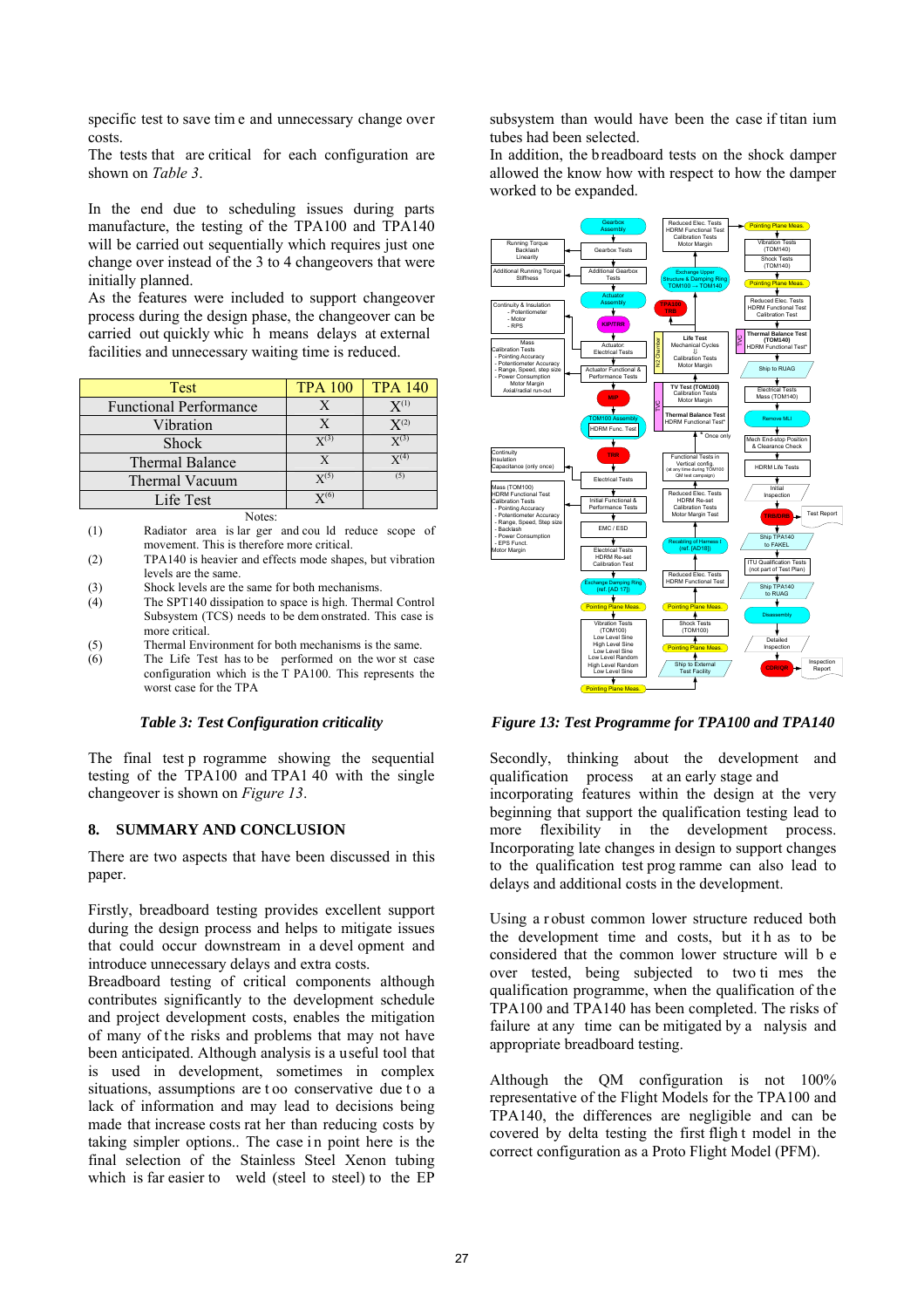specific test to save tim e and unnecessary change over costs.

The tests that are critical for each configuration are shown on *Table 3*.

In the end due to scheduling issues during parts manufacture, the testing of the TPA100 and TPA140 will be carried out sequentially which requires just one change over instead of the 3 to 4 changeovers that were initially planned.

As the features were included to support changeover process during the design phase, the changeover can be carried out quickly whic h means delays at external facilities and unnecessary waiting time is reduced.

| Test                          | <b>TPA 100</b>     | <b>TPA 140</b>     |
|-------------------------------|--------------------|--------------------|
| <b>Functional Performance</b> |                    | $X^{(1)}$          |
| Vibration                     | Х                  | $X^{(2)}$          |
| <b>Shock</b>                  | $\mathrm{Y}^{(3)}$ | $\mathrm{Y}^{(3)}$ |
| <b>Thermal Balance</b>        | X                  | $\mathrm{Y}^{(4)}$ |
| Thermal Vacuum                | $\mathrm{Y}^{(5)}$ | (5)                |
| Life Test                     | ${\bf Y}^{(6)}$    |                    |

Notes:

(1) Radiator area is lar ger and cou ld reduce scope of movement. This is therefore more critical.

(2) TPA140 is heavier and effects mode shapes, but vibration levels are the same.

- (3) Shock levels are the same for both mechanisms.
- (4) The SPT140 dissipation to space is high. Thermal Control Subsystem (TCS) needs to be dem onstrated. This case is more critical.
- (5) Thermal Environment for both mechanisms is the same.
- (6) The Life Test has to be performed on the wor st case configuration which is the T PA100. This represents the worst case for the TPA

# *Table 3: Test Configuration criticality*

The final test p rogramme showing the sequential testing of the TPA100 and TPA1 40 with the single changeover is shown on *Figure 13*.

# **8. SUMMARY AND CONCLUSION**

There are two aspects that have been discussed in this paper.

Firstly, breadboard testing provides excellent support during the design process and helps to mitigate issues that could occur downstream in a devel opment and introduce unnecessary delays and extra costs.

Breadboard testing of critical components although contributes significantly to the development schedule and project development costs, enables the mitigation of many of the risks and problems that may not have been anticipated. Although analysis is a useful tool that is used in development, sometimes in complex situations, assumptions are too conservative due to a lack of information and may lead to decisions being made that increase costs rat her than reducing costs by taking simpler options.. The case in point here is the final selection of the Stainless Steel Xenon tubing which is far easier to weld (steel to steel) to the EP

subsystem than would have been the case if titan ium tubes had been selected.

In addition, the breadboard tests on the shock damper allowed the know how with respect to how the damper worked to be expanded.



*Figure 13: Test Programme for TPA100 and TPA140* 

Secondly, thinking about the development and qualification process at an early stage and incorporating features within the design at the very beginning that support the qualification testing lead to more flexibility in the development process. Incorporating late changes in design to support changes to the qualification test prog ramme can also lead to delays and additional costs in the development.

Using a r obust common lower structure reduced both the development time and costs, but it h as to be considered that the common lower structure will b e over tested, being subjected to two ti mes the qualification programme, when the qualification of the TPA100 and TPA140 has been completed. The risks of failure at any time can be mitigated by a nalysis and appropriate breadboard testing.

Although the QM configuration is not 100% representative of the Flight Models for the TPA100 and TPA140, the differences are negligible and can be covered by delta testing the first fligh t model in the correct configuration as a Proto Flight Model (PFM).